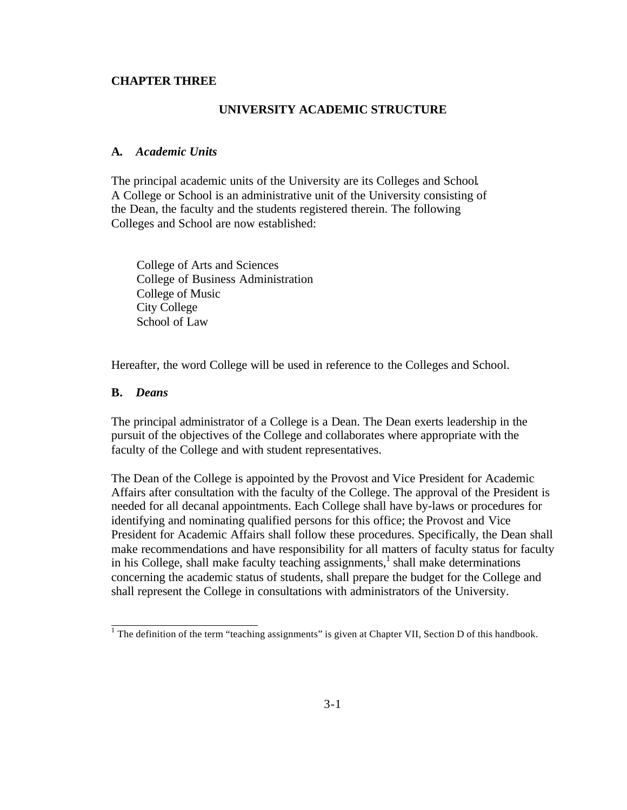#### **CHAPTER THREE**

# **UNIVERSITY ACADEMIC STRUCTURE**

# **A.** *Academic Units*

The principal academic units of the University are its Colleges and School. A College or School is an administrative unit of the University consisting of the Dean, the faculty and the students registered therein. The following Colleges and School are now established:

College of Arts and Sciences College of Business Administration College of Music City College School of Law

Hereafter, the word College will be used in reference to the Colleges and School.

# **B.** *Deans*

 $\overline{a}$ 

The principal administrator of a College is a Dean. The Dean exerts leadership in the pursuit of the objectives of the College and collaborates where appropriate with the faculty of the College and with student representatives.

The Dean of the College is appointed by the Provost and Vice President for Academic Affairs after consultation with the faculty of the College. The approval of the President is needed for all decanal appointments. Each College shall have by-laws or procedures for identifying and nominating qualified persons for this office; the Provost and Vice President for Academic Affairs shall follow these procedures. Specifically, the Dean shall make recommendations and have responsibility for all matters of faculty status for faculty in his College, shall make faculty teaching assignments, $\frac{1}{s}$  shall make determinations concerning the academic status of students, shall prepare the budget for the College and shall represent the College in consultations with administrators of the University.

<sup>&</sup>lt;sup>1</sup> The definition of the term "teaching assignments" is given at Chapter VII, Section D of this handbook.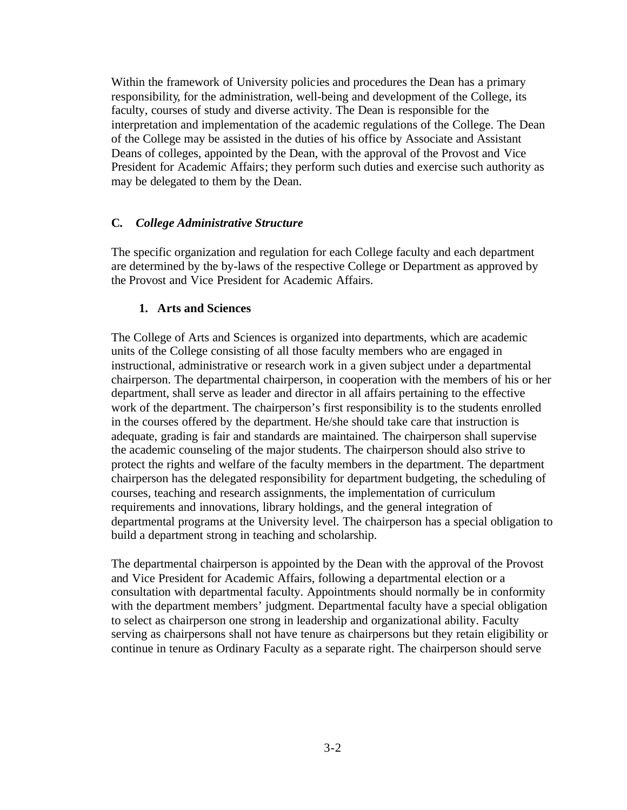Within the framework of University policies and procedures the Dean has a primary responsibility, for the administration, well-being and development of the College, its faculty, courses of study and diverse activity. The Dean is responsible for the interpretation and implementation of the academic regulations of the College. The Dean of the College may be assisted in the duties of his office by Associate and Assistant Deans of colleges, appointed by the Dean, with the approval of the Provost and Vice President for Academic Affairs; they perform such duties and exercise such authority as may be delegated to them by the Dean.

# **C.** *College Administrative Structure*

The specific organization and regulation for each College faculty and each department are determined by the by-laws of the respective College or Department as approved by the Provost and Vice President for Academic Affairs.

# **1. Arts and Sciences**

The College of Arts and Sciences is organized into departments, which are academic units of the College consisting of all those faculty members who are engaged in instructional, administrative or research work in a given subject under a departmental chairperson. The departmental chairperson, in cooperation with the members of his or her department, shall serve as leader and director in all affairs pertaining to the effective work of the department. The chairperson's first responsibility is to the students enrolled in the courses offered by the department. He/she should take care that instruction is adequate, grading is fair and standards are maintained. The chairperson shall supervise the academic counseling of the major students. The chairperson should also strive to protect the rights and welfare of the faculty members in the department. The department chairperson has the delegated responsibility for department budgeting, the scheduling of courses, teaching and research assignments, the implementation of curriculum requirements and innovations, library holdings, and the general integration of departmental programs at the University level. The chairperson has a special obligation to build a department strong in teaching and scholarship.

The departmental chairperson is appointed by the Dean with the approval of the Provost and Vice President for Academic Affairs, following a departmental election or a consultation with departmental faculty. Appointments should normally be in conformity with the department members' judgment. Departmental faculty have a special obligation to select as chairperson one strong in leadership and organizational ability. Faculty serving as chairpersons shall not have tenure as chairpersons but they retain eligibility or continue in tenure as Ordinary Faculty as a separate right. The chairperson should serve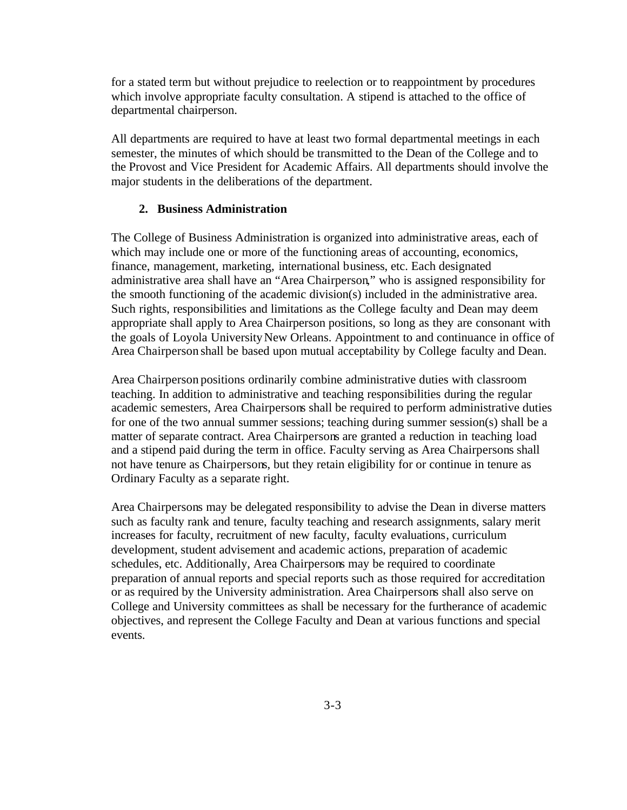for a stated term but without prejudice to reelection or to reappointment by procedures which involve appropriate faculty consultation. A stipend is attached to the office of departmental chairperson.

All departments are required to have at least two formal departmental meetings in each semester, the minutes of which should be transmitted to the Dean of the College and to the Provost and Vice President for Academic Affairs. All departments should involve the major students in the deliberations of the department.

#### **2. Business Administration**

The College of Business Administration is organized into administrative areas, each of which may include one or more of the functioning areas of accounting, economics, finance, management, marketing, international business, etc. Each designated administrative area shall have an "Area Chairperson," who is assigned responsibility for the smooth functioning of the academic division(s) included in the administrative area. Such rights, responsibilities and limitations as the College faculty and Dean may deem appropriate shall apply to Area Chairperson positions, so long as they are consonant with the goals of Loyola University New Orleans. Appointment to and continuance in office of Area Chairperson shall be based upon mutual acceptability by College faculty and Dean.

Area Chairperson positions ordinarily combine administrative duties with classroom teaching. In addition to administrative and teaching responsibilities during the regular academic semesters, Area Chairpersons shall be required to perform administrative duties for one of the two annual summer sessions; teaching during summer session(s) shall be a matter of separate contract. Area Chairpersons are granted a reduction in teaching load and a stipend paid during the term in office. Faculty serving as Area Chairpersons shall not have tenure as Chairpersons, but they retain eligibility for or continue in tenure as Ordinary Faculty as a separate right.

Area Chairpersons may be delegated responsibility to advise the Dean in diverse matters such as faculty rank and tenure, faculty teaching and research assignments, salary merit increases for faculty, recruitment of new faculty, faculty evaluations, curriculum development, student advisement and academic actions, preparation of academic schedules, etc. Additionally, Area Chairpersons may be required to coordinate preparation of annual reports and special reports such as those required for accreditation or as required by the University administration. Area Chairpersons shall also serve on College and University committees as shall be necessary for the furtherance of academic objectives, and represent the College Faculty and Dean at various functions and special events.